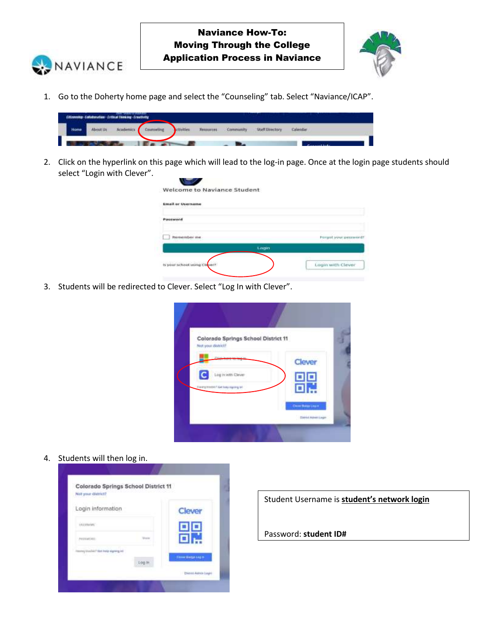



1. Go to the Doherty home page and select the "Counseling" tab. Select "Naviance/ICAP".

|      | (Hizweship-Colleboration-Critical Thioking-Crawtistty |           |           |            |                        |          |  |
|------|-------------------------------------------------------|-----------|-----------|------------|------------------------|----------|--|
| tome |                                                       | Cosmeling | Неконтин. | Cammunity. | <b>Staff Directory</b> | Calendar |  |
|      |                                                       |           |           |            |                        |          |  |

2. Click on the hyperlink on this page which will lead to the log-in page. Once at the login page students should select "Login with Clever".

| <b>Email or Username</b>     |                       |
|------------------------------|-----------------------|
| Password                     |                       |
| <b>Bestember</b> me          | Person your persyster |
|                              | Login                 |
| is your school using Clever? | Login with Clever     |

3. Students will be redirected to Clever. Select "Log In with Clever".

| Colorado Springs School District 11<br>Not your district? |                 |  |
|-----------------------------------------------------------|-----------------|--|
| <b>Professor</b>                                          | Clever          |  |
| Log in with Clever                                        | Ξ               |  |
| <b>Herzy Hodel Gelesty staring all</b>                    |                 |  |
|                                                           | Committee Lines |  |

4. Students will then log in.

| Login information                    |        | Clever                   |
|--------------------------------------|--------|--------------------------|
| LEU ESANIANO                         |        | 回回                       |
| PATENTINE                            |        |                          |
| homey chacked? Wet meta Algewig inti |        |                          |
|                                      | Log.in | <b>Close Benzinka in</b> |

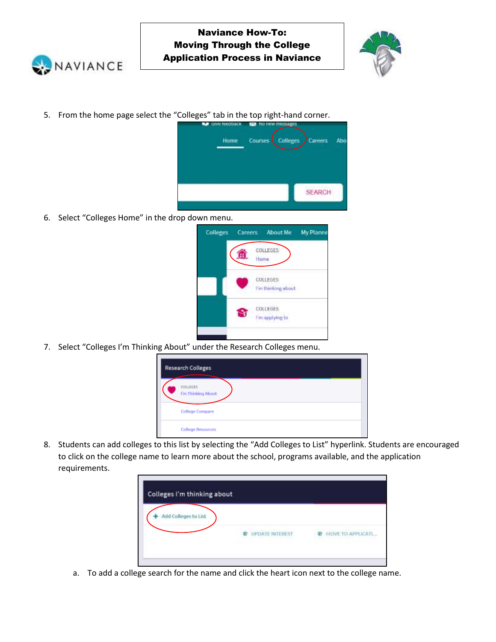



5. From the home page select the "Colleges" tab in the top right-hand corner.



6. Select "Colleges Home" in the drop down menu.

| Colleges Careers About Me |                  |                 |                    | My Planne |
|---------------------------|------------------|-----------------|--------------------|-----------|
|                           | COLLEGES<br>Home |                 |                    |           |
|                           | COLLEGES         |                 | I'm thinking about |           |
|                           | COLLEGES         | I'm applying to |                    |           |
|                           |                  |                 |                    |           |

7. Select "Colleges I'm Thinking About" under the Research Colleges menu.

| <b>Research Colleges</b>       |  |
|--------------------------------|--|
| COLLEGES<br>I'm Thinking About |  |
| <b>College Compare</b>         |  |
| <b>College Resources</b>       |  |

8. Students can add colleges to this list by selecting the "Add Colleges to List" hyperlink. Students are encouraged to click on the college name to learn more about the school, programs available, and the application requirements.



a. To add a college search for the name and click the heart icon next to the college name.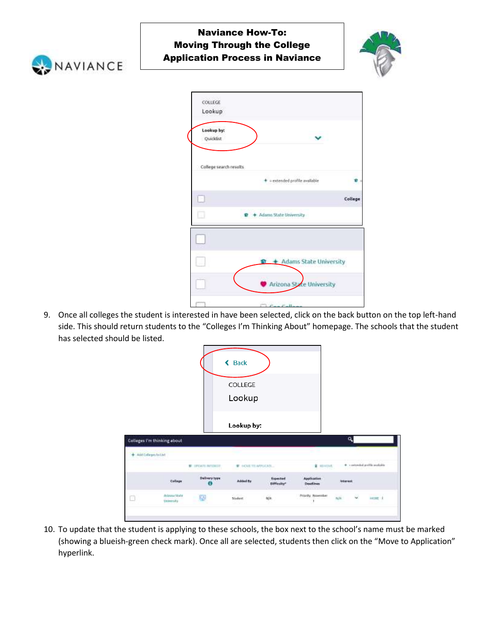

## Naviance How-To: Moving Through the College Application Process in Naviance



| Lookup by:<br>Quicklist<br>College search results<br>+ = extended profile available<br>Ω<br>O<br>+ Adams State University<br>$\frac{1}{2}$ + Adams State University<br>u<br>Arizona State University | COLLEGE<br>Lookup |  |         |
|------------------------------------------------------------------------------------------------------------------------------------------------------------------------------------------------------|-------------------|--|---------|
|                                                                                                                                                                                                      |                   |  |         |
|                                                                                                                                                                                                      |                   |  |         |
|                                                                                                                                                                                                      |                   |  |         |
|                                                                                                                                                                                                      |                   |  | College |
|                                                                                                                                                                                                      |                   |  |         |
|                                                                                                                                                                                                      |                   |  |         |
|                                                                                                                                                                                                      |                   |  |         |
|                                                                                                                                                                                                      |                   |  |         |
|                                                                                                                                                                                                      |                   |  |         |
|                                                                                                                                                                                                      |                   |  |         |

9. Once all colleges the student is interested in have been selected, click on the back button on the top left-hand side. This should return students to the "Colleges I'm Thinking About" homepage. The schools that the student has selected should be listed.

|                         |                                    |                      | <b>Back</b><br>≺<br>COLLEGE<br>Lookup |                                 |                           |                 |                              |
|-------------------------|------------------------------------|----------------------|---------------------------------------|---------------------------------|---------------------------|-----------------|------------------------------|
|                         | <b>Colleges I'm thinking about</b> |                      | Lookup by:                            |                                 |                           | ٥               |                              |
| + Add Colleges bill bit |                                    |                      |                                       |                                 |                           |                 |                              |
|                         |                                    | <b>E UNATERFORTE</b> | <b>E HOVETH APPLICATI</b>             |                                 | <b>B</b> HENDIS,          |                 | * contended prehis available |
|                         | Collage                            | Delivery type<br>ш   |                                       | Expected<br><b>Bifficalty</b> * | Application<br>Desdines   | <b>Internal</b> |                              |
|                         | Adaptata Skular<br>University      | ES)                  | Stadent:                              | M/A                             | Priority November<br>xoon | n/k             | may a<br>istor it            |

10. To update that the student is applying to these schools, the box next to the school's name must be marked (showing a blueish-green check mark). Once all are selected, students then click on the "Move to Application" hyperlink.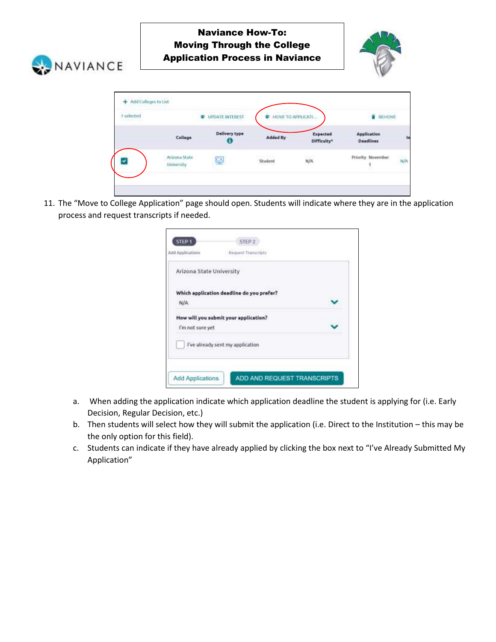



| 1 selected<br>Missima a |                                                      | and a statement records.<br>UPDATE INTEREST<br>÷ | <b><i>ROUE TELADOLICATI</i></b>                 |                         |                                        | <b>ILENICIUS</b> |     |
|-------------------------|------------------------------------------------------|--------------------------------------------------|-------------------------------------------------|-------------------------|----------------------------------------|------------------|-----|
|                         | College                                              | Delivery type<br>ω                               | Added By                                        | Expected<br>Difficulty* | <b>Application</b><br><b>Deadlines</b> |                  | Þ   |
|                         | Arizona State<br>University<br>and a children of the | 역                                                | <b>MARK AND THE REAL</b><br>Student<br>POD STOR | N/A<br>かいつ              | Priority November                      |                  | N/A |

11. The "Move to College Application" page should open. Students will indicate where they are in the application process and request transcripts if needed.

| STEP <sub>1</sub>        | STEP <sub>2</sub>                         |  |
|--------------------------|-------------------------------------------|--|
| Add Applications         | <b>Request Transcripts</b>                |  |
| Arizona State University |                                           |  |
|                          | Which application deadline do you prefer? |  |
| N/A                      |                                           |  |
|                          | How will you submit your application?     |  |
| I'm not sure yet         |                                           |  |
|                          | I've already sent my application          |  |
|                          |                                           |  |
| <b>Add Applications</b>  | ADD AND REQUEST TRANSCRIPTS               |  |

- a. When adding the application indicate which application deadline the student is applying for (i.e. Early Decision, Regular Decision, etc.)
- b. Then students will select how they will submit the application (i.e. Direct to the Institution this may be the only option for this field).
- c. Students can indicate if they have already applied by clicking the box next to "I've Already Submitted My Application"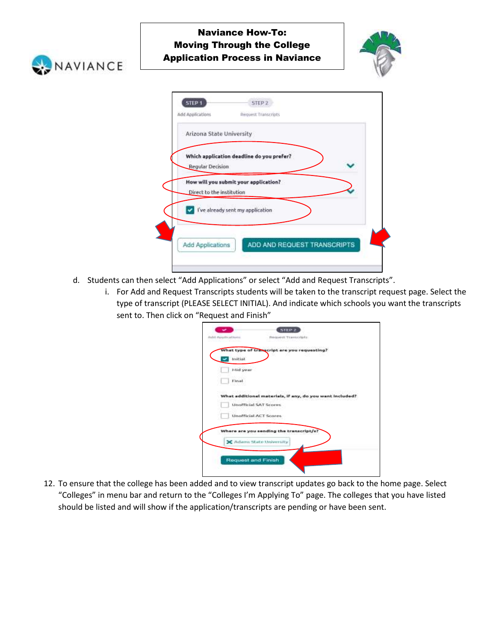



| Which application deadline do you prefer?                          |  |
|--------------------------------------------------------------------|--|
| Regular Decision                                                   |  |
| How will you submit your application?<br>Direct to the institution |  |
| I've already sent my application                                   |  |

- d. Students can then select "Add Applications" or select "Add and Request Transcripts".
	- i. For Add and Request Transcripts students will be taken to the transcript request page. Select the type of transcript (PLEASE SELECT INITIAL). And indicate which schools you want the transcripts sent to. Then click on "Request and Finish"

|          | What type of transcript are you requesting?              |  |
|----------|----------------------------------------------------------|--|
| Initial  |                                                          |  |
| Mid year |                                                          |  |
|          |                                                          |  |
| Final    |                                                          |  |
|          | What additional materials, if any, do you want included? |  |
|          | <b>Unofficial SAT Scores</b>                             |  |
|          | <b>Unofficial ACT Scores:</b>                            |  |
|          | Where are you sending the transcript/s?                  |  |
|          | C Adams State University                                 |  |
|          |                                                          |  |

12. To ensure that the college has been added and to view transcript updates go back to the home page. Select "Colleges" in menu bar and return to the "Colleges I'm Applying To" page. The colleges that you have listed should be listed and will show if the application/transcripts are pending or have been sent.